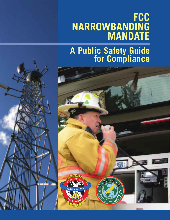## **FCC NARROWBANDING MANDATE**

# **<sup>A</sup> Public Safety Guide for Compliance**



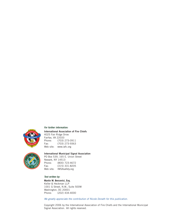

#### **For further information:**

**International Association of Fire Chiefs** 4025 Fair Ridge Drive Fairfax, VA 22033<br>Phone: (703) Phone: (703) 273-0911 Fax: (703) 273-9363 Web site: www.iafc.org



#### **International Municipal Signal Association**

PO Box 539, 165 E. Union Street Newark, NY 14513 Phone: (800) 723-4672 Fax: (315) 331-8205 Web site: IMSAsafety.org

#### **Text written by:**

**Martin W. Bercovici, Esq.** Keller & Heckman LLP 1001 G Street, N.W., Suite 500W Washington, DC 20001 Phone: (202) 434-4000

We greatly appreciate the contribution of Nicole Donath for this publication.

Copyright 2006 by the International Association of Fire Chiefs and the International Municipal Signal Association. All rights reserved.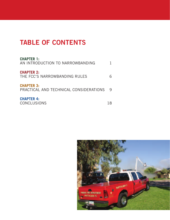### **TABLE OF CONTENTS**

| <b>CHAPTER 1:</b><br>AN INTRODUCTION TO NARROWBANDING       |  |
|-------------------------------------------------------------|--|
| <b>CHAPTER 2:</b><br>THE FCC'S NARROWBANDING RULES          |  |
| <b>CHAPTER 3:</b><br>PRACTICAL AND TECHNICAL CONSIDERATIONS |  |
| <b>CHAPTER 4:</b><br><b>CONCLUSIONS</b>                     |  |

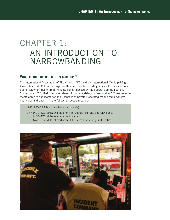### CHAPTER 1: AN INTRODUCTION TO NARROWBANDING

#### **WHAT IS THE PURPOSE OF THIS BROCHURE?**

The International Association of Fire Chiefs (IAFC) and the International Municipal Signal Association (IMSA) have put together this brochure to provide guidance to state and local public safety entities on requirements being imposed by the Federal Communications Commission (FCC) that often are referred to as **"mandatory narrowbanding."** These requirements apply to applicants for and licensees of privately operated mobile radio systems both voice and data — in the following spectrum bands:

VHF (150–174 MHz: available nationwide)

UHF (421–430 MHz: available only in Detroit, Buffalo, and Cleveland) (450–470 MHz: available nationwide) (470–512 MHz: shared with UHF-TV; available only in 11 cities)

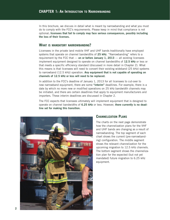In this brochure, we discuss in detail what is meant by narrowbanding and what you must do to comply with the FCC's requirements. Please keep in mind that compliance is not optional; **licensees that fail to comply may face serious consequences, possibly including the loss of their licenses.**

#### **WHAT IS MANDATORY NARROWBANDING?**

Licensees in the private land mobile VHF and UHF bands traditionally have employed systems that operate on channel bandwidths of **25 kHz**. "Narrowbanding" refers to a requirement by the FCC that — **on or before January 1, 2013** — all existing licensees implement equipment designed to operate on channel bandwidths of **12.5 kHz** or less or that meets a specific efficiency standard (discussed in more detail in Chapter 2). What this means is that licensees will need to convert their existing wideband (25 kHz) systems to narrowband (12.5 kHz) operation. **Any equipment that is not capable of operating on channels of 12.5 kHz or less will need to be replaced.**

In addition to the FCC's deadline of January 1, 2013 for all licensees to cut-over to new narrowband equipment, there are some **"interim"** deadlines. For example, there is a date by which no more new or modified operations on 25 kHz bandwidth channels may be initiated, and there are certain deadlines that apply to equipment manufacturers and importers. These interim deadlines are discussed in Chapter 2.

The FCC expects that licensees ultimately will implement equipment that is designed to operate on channel bandwidths of **6.25 kHz** or less. However, **there currently is no deadline set for making this transition.**



#### **CHANNELIZATION PLANS**

The charts on the next page demonstrate how the channelization plans for the VHF and UHF bands are changing as a result of narrowbanding. The top segment of each chart shows the current (pre-narrowbanding) configuration. The middle segment shows the relevant channelization for the upcoming migration to 12.5 kHz channels. The bottom segment shows the channelization plan for the expected (but not yet mandated) future migration to 6.25 kHz equipment.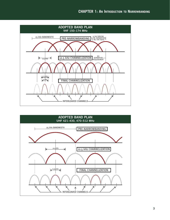

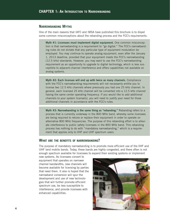#### **NARROWBANDING MYTHS**

One of the main reasons that IAFC and IMSA have published this brochure is to dispel some common misconceptions about the rebanding process and the FCC's requirements.

**Myth #1: Licensees must implement digital equipment.** One common misconception is that narrowbanding is a requirement to "go digital." The FCC's narrowbanding rules do not dictate that any particular type of equipment modulation be employed. You may continue to operate analog equipment, even after the January 1, 2013 deadline, provided that your equipment meets the FCC's narrowbanding (12.5 kHz) standards. However, you may want to use the FCC's narrowbanding requirement as an opportunity to upgrade to digital technology, which is less susceptible to adjacent-channel interference and offers capabilities not available on analog systems.

**Myth #2: Each licensee will end up with twice as many channels.** Compliance with the FCC's narrowbanding requirements will not necessarily entitle you to license two 12.5 kHz channels where previously you had one 25 kHz channel. In general, each licensed 25 kHz channel will be converted into a 12.5 kHz channel having the same center operating frequency. If you would like to add additional channels to your system license(s), you will need to justify your need for those additional channels in accordance with the FCC's rules.

**Myth #3: Narrowbanding is the same thing as "rebanding."** Rebanding refers to a process that is currently underway in the 800 MHz band, whereby some licensees are being required to retune or replace their equipment in order to operate on alternative 800 MHz frequencies. The purpose of this rebanding effort is to alleviate interference to public safety licensees in the 800 MHz band. This rebanding process has nothing to do with "mandatory narrowbanding," which is a requirement that applies only to VHF and UHF spectrum users.

#### **WHAT ARE THE BENEFITS OF NARROWBANDING?**

The purpose of mandatory narrowbanding is to promote more efficient use of the VHF and UHF land mobile bands. Today, these bands are highly congested, and there often is not enough spectrum available for licensees to expand their existing systems or implement

new systems. As licensees convert to equipment that operates on narrower channel bandwidths, new channels will become available for licensing by parties that need them. It also is hoped that the narrowband conversion will spur the development and use of new technologies that will further promote efficient spectrum use, be less susceptible to interference, and provide licensees with enhanced capabilities.

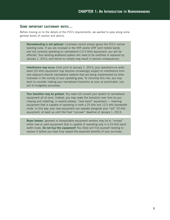#### **SOME IMPORTANT CAUTIONARY NOTES…**

Before moving on to the details of the FCC's requirements, we wanted to pass along some general words of caution and advice:

**Narrowbanding is not optional.** Licensees cannot simply ignore the FCC's narrowbanding rules. If you are licensed in the VHF and/or UHF land mobile bands and not currently operating on narrowband (12.5 kHz) equipment, you will be affected. Your existing wideband system will need to be modified or replaced by January 1, 2013, and failure to comply may result in serious consequences.

**Interference may occur.** Even prior to January 1, 2013, your operations on wideband (25 kHz) equipment may become increasingly subject to interference from new adjacent-channel narrowband systems that are being implemented by other licensees in the vicinity of your operating area. To minimize this risk, you may want to consider making your narrowband transition as soon as practicable, subject to budgetary processes.

**Your transition may be gradual.** You need not convert your system to narrowband equipment all at once. Instead, you may make the transition over time by purchasing and installing, in several phases, "dual band" equipment — meaning equipment that is capable of operating in both a 25 kHz and 12.5 kHz bandwidth mode. In this way, your new equipment can operate alongside your "old" 25 kHz equipment, at least up until the final "cut-over" deadline of January 1, 2013.

**Buyer beware.** Ignorant or disreputable equipment vendors may try to "unload" either new or used equipment that is capable of operating only in a 25 kHz bandwidth mode. **Do not buy this equipment!** You likely will find yourself needing to replace it before you have fully reaped the expected benefits of your purchase.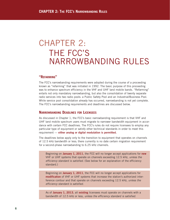### CHAPTER 2: THE FCC'S NARROWBANDING RULES

#### **"REFARMING"**

The FCC's narrowbanding requirements were adopted during the course of a proceeding known as "refarming" that was initiated in 1992. The basic purpose of this proceeding was to enhance spectrum efficiency in the VHF and UHF land mobile bands. "Refarming" entails not only mandatory narrowbanding, but also the consolidation of twenty separate radio services into two radio pools: a Public Safety Pool and an Industrial/Business Pool. While service pool consolidation already has occurred, narrowbanding is not yet complete. The FCC's narrowbanding requirements and deadlines are discussed below.

#### **NARROWBANDING DEADLINES FOR LICENSEES**

As discussed in Chapter 1, the FCC's basic narrowbanding requirement is that VHF and UHF land mobile spectrum users must migrate to narrower bandwidth equipment in accordance with certain FCC deadlines. The FCC's rules do not require licensees to employ any particular type of equipment or satisfy other technical standards in order to meet this requirement — **either analog or digital modulation is permitted.**

The deadlines below apply only to the transition to equipment that operates on channels of 12.5 kHz bandwidth or less; there currently is no date certain migration requirement for a second-phase narrowbanding to 6.25 kHz channels.

Beginning on **January 1, 2011**, the FCC will no longer accept applications for **new** VHF or UHF systems that operate on channels exceeding 12.5 kHz, unless the efficiency standard is satisfied. (See below for an explanation of the efficiency standard.)

Beginning on **January 1, 2011**, the FCC will no longer accept applications for **modification** of VHF or UHF systems that increase the station's authorized interference contour and that operate on channels exceeding 12.5 kHz, unless the efficiency standard is satisfied.

As of **January 1, 2013**, all **existing** licensees must operate on channels with a bandwidth of 12.5 kHz or less, unless the efficiency standard is satisfied.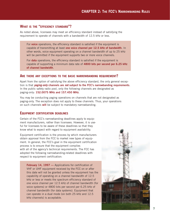#### **WHAT IS THE "EFFICIENCY STANDARD"?**

As noted above, licensees may meet an efficiency standard instead of satisfying the requirement to operate of channels with a bandwidth of 12.5 kHz or less.

For **voice** operations, the efficiency standard is satisfied if the equipment is capable of transmitting at least **one voice channel per 12.5 kHz of bandwidth**. In other words, voice equipment operating on a channel bandwidth of up to 25 kHz will be permitted if the equipment supports two or more voice channels.

For **data** operations, the efficiency standard is satisfied if the equipment is capable of supporting a minimum data rate of **4800 bits per second per 6.25 kHz of channel bandwidth**.

#### **ARE THERE ANY EXCEPTIONS TO THE BASIC NARROWBANDING REQUIREMENT?**

Apart from the option of satisfying the above efficiency standard, the only general exception is that **paging-only channels are not subject to the FCC's narrowbanding requirements**. In the public safety radio pool, only the following channels are designated as paging-only: **152.0075 MHz and 157.450 MHz**.

You may be conducting paging operations on channels that are not designated as paging-only. The exception does not apply to these channels. Thus, your operations on such channels **will** be subject to mandatory narrowbanding.

#### **EQUIPMENT CERTIFICATION DEADLINES**

Certain of the FCC's narrowbanding deadlines apply to equipment manufacturers, rather than licensees. However, it is useful for licensees to be aware of these deadlines so that they know what to expect with regard to equipment availability.

Equipment certification is the process by which manufacturers obtain approval from the FCC to market new types of equipment. In general, the FCC's goal in the equipment certification process is to ensure that the equipment complies with all of the agency's technical requirements. The FCC has adopted the following narrowbanding-related deadlines with respect to equipment certification:

**February 14, 1997 —** Applications for certification of VHF or UHF equipment received by the FCC on or after this date will not be granted unless the equipment has the capability of operating on a channel bandwidth of 12.5 kHz or less or meets the spectrum efficiency standard of one voice channel per 12.5 kHz of channel bandwidth (for voice systems) or 4800 bits per second per 6.25 kHz of channel bandwidth (for data systems). Equipment that can operate in a dual mode (on both 25 kHz and 12.5 kHz channels) is acceptable.

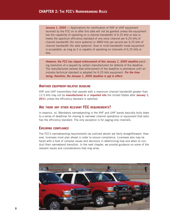**January 1, 2005 —** Applications for certification of VHF or UHF equipment received by the FCC on or after this date will not be granted unless the equipment has the capability of operating on a channel bandwidth of 6.25 kHz or less or meets the spectrum efficiency standard of one voice channel per 6.25 kHz of channel bandwidth (for voice systems) or 4800 bits per second per 6.25 kHz of channel bandwidth (for data systems). Dual or multi-bandwidth mode equipment is acceptable, as long as it is capable of operating on channels of 6.25 kHz or less.

**However, the FCC has stayed enforcement of this January 1, 2005 deadline** pending resolution of a request by certain manufacturers for deferral of the deadline. The manufacturers believe that enforcement of the deadline is premature until an industry technical standard is adopted for 6.25 kHz equipment. **For the time being, therefore, the January 1, 2005 deadline is not in effect.**

#### **ANOTHER EQUIPMENT-RELATED DEADLINE**

VHF and UHF transmitters that operate with a maximum channel bandwidth greater than 12.5 kHz may not be **manufactured in** or **imported into** the United States after **January 1, 2011** unless the efficiency standard is satisfied.

#### **ARE THERE ANY OTHER RELEVANT FCC REQUIREMENTS?**

In essence, no. Mandatory narrowbanding in the VHF and UHF bands basically boils down to a series of deadlines for moving to narrower channel operations or equipment that satisfies the efficiency standard. The only exception is for paging-only channels.

#### **ENSURING COMPLIANCE**

The FCC's narrowbanding requirements (as outlined above) are fairly straightforward. However, licensees must plan ahead in order to ensure compliance. Licensees also may be faced with a host of complex issues and decisions in determining how and when to conduct their narrowband transition. In the next chapter, we provide guidance on some of the relevant issues and considerations that may arise.

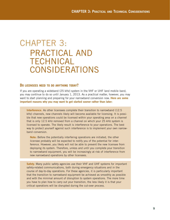### CHAPTER 3: PRACTICAL AND TECHNICAL CONSIDERATIONS

#### **DO LICENSEES NEED TO DO ANYTHING TODAY?**

If you are operating a wideband (25 kHz) system in the VHF or UHF land mobile band, you may continue to do so until January 1, 2013. As a practical matter, however, you may want to start planning and preparing for your narrowband conversion now. **Here are some important reasons why you may want to get started sooner rather than later:**

**Interference.** As other licensees complete their transition to narrowband (12.5 kHz) channels, new channels likely will become available for licensing. It is possible that new operations could be licensed within your operating area on a channel that is only 12.5 kHz removed from a channel on which your 25 kHz system is licensed to operate. The likely result is interference to your operations. The best way to protect yourself against such interference is to implement your own narrowband conversion.

**Note:** Before the potentially interfering operations are initiated, the other licensee probably will be expected to notify you of the potential for interference. However, you likely will not be able to prevent the new licensee from deploying its system. Therefore, unless and until you complete your transition to narrowband equipment, you will be increasingly at risk of interference from new narrowband operations by other licensees.

**Safety.** Many public safety agencies use their VHF and UHF systems for important safety-related communications, both during emergency situations and in the course of day-to-day operations. For these agencies, it is particularly important that the transition to narrowband equipment be achieved as smoothly as possible and with the minimal amount of disruption to system operations. The more time you have to plan how to carry out your transition, the less likely it is that your critical operations will be disrupted during the cut-over process.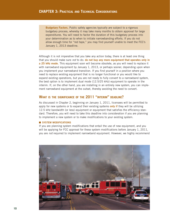**Budgetary Factors.** Public safety agencies typically are subject to a rigorous budgetary process, whereby it may take many months to obtain approval for large expenditures. You will need to factor the duration of this budgetary process into your determination as to when to initiate narrowbanding efforts. If you do not allow enough time for "red tape," you may find yourself unable to meet the FCC's January 1, 2013 deadline.

Although it is not imperative that you take any action today, there is at least one thing that you should make sure not to do: **do not buy any more equipment that operates only in a 25 kHz mode.** This equipment soon will become obsolete, as you will need to replace it with narrowband equipment by January 1, 2013, or perhaps sooner, depending upon when you implement your narrowband transition. If you find yourself in a position where you need to replace existing equipment that is no longer functional or you would like to expand existing operations, but you are not ready to fully convert to a narrowband system, the best option is to implement dual mode (12.5/25 kHz) equipment to operate in the interim. If, on the other hand, you are installing in an entirely new system, you can implement narrowband equipment at the outset, thereby avoiding the need to convert.

#### **WHAT IS THE SIGNIFICANCE OF THE 2011 "INTERIM" DEADLINE?**

As discussed in Chapter 2, beginning on January 1, 2011, licensees will be permitted to apply for new systems or to expand their existing systems **only if** they will be utilizing 12.5 kHz bandwidth (or less) equipment or equipment that satisfies the efficiency standard. Therefore, you will need to take this deadline into consideration if you are planning to implement a new system or to make modifications to your existing system.

#### ■ **SYSTEM MODIFICATIONS**

If you are planning system modifications that entail the use of new equipment, and you will be applying for FCC approval for these system modifications before January 1, 2011, you are *not* required to implement narrowband equipment. However, we highly recommend

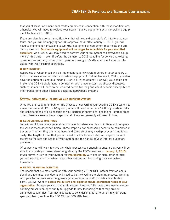that you at least implement dual mode equipment in connection with these modifications; otherwise, you will need to replace your newly installed equipment with narrowband equipment by January 1, 2013.

If you are planning system modifications that will expand your station's interference contours, and you will be applying for FCC approval on or after January 1, 2011, you will need to implement narrowband (12.5 kHz) equipment or equipment that meets the efficiency standard. **Dual mode equipment will no longer be acceptable for your modified operations.** As a result, you may need to convert your entire system to narrowband equipment at this time — even if before the January 1, 2013 deadline for converting existing operations — so that your modified operations using 12.5 kHz equipment may be integrated with your existing operations.

#### ■ **NEW SYSTEMS**

Regardless of whether you will be implementing a new system before or after January 1, 2011, it makes sense to install narrowband equipment. Before January 1, 2011, you also have the option of using dual mode (12.5/25 kHz) equipment. However, you should not implement 25 kHz equipment in connection with a new system; as already discussed, such equipment will need to be replaced before too long and could become susceptible to interference from other licensees operating narrowband systems.

#### **SYSTEM CONVERSION: PLANNING AND IMPLEMENTATION**

Once you are ready to embark on the process of converting your existing 25 kHz system to a new, narrowband (12.5 kHz) system, what will need to be done? Although certain tasks and considerations will be specific to your particular operational needs and internal procedures, there are several basic steps that all licensees generally will need to take.

#### ■ **ESTABLISHING A TIMETABLE**

You will want to set some general benchmarks for when you plan to initiate and complete the various steps described below. These steps do not necessarily need to be completed in the order in which they are listed here, and some steps may overlap or occur simultaneously. The length of time that you will need to allow for each step will depend on such factors as the size and scope of your system and the nature of your internal budgetary processes.

Of course, you will want to start the whole process soon enough to ensure that you will be able to complete your narrowband migration by the FCC's deadline of **January 1, 2013**. If you currently rely on your system for **interoperability** with one or more other entities, you will need to consider when those other entities will be making their narrowband transitions.

#### ■ **INITIAL PLANNING ACTIVITIES**

The people that are most familiar with your existing VHF or UHF system from an operational and technical standpoint will need to be involved in the planning process. Working with your technicians and/or engineers (whether internal staff, outside consultants or both), you will want to **assess the current and expected future operational needs of your organization.** Perhaps your existing radio system does not fully meet these needs; narrowbanding presents an opportunity to upgrade to new technologies that may provide enhanced capabilities. You may also want to consider migrating to an entirely different spectrum band, such as the 700 MHz or 800 MHz band.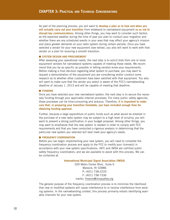As part of the planning process, you will want to **develop a plan as to how and when you will actually carry out your transition** from wideband to narrowband equipment **so as not to disrupt key communications**. Among other things, you may want to consider such factors as the expected weather during the time of year you plan to conduct your migration and whether there are any scheduled events in your area that may affect your agency's mission and place greater demands on your radio system during certain periods. Once you have selected a vendor for your new equipment (see below), you also will want to work with that vendor on a plan for ensuring a smooth transition.

#### ■ **SYSTEM DESIGN AND PROCUREMENT**

After assessing your operational needs, the next step is to solicit bids from one or more equipment vendors for narrowband systems capable of meeting these needs. We recommend that you be as specific as possible in letting vendors know your requirements. Before making a final decision regarding what system to purchase, you may want to request a demonstration of the equipment you are considering and/or conduct some research as to whether other customers have been satisfied with that equipment. You also will want to make sure that the vendor you select is aware of the FCC's narrowbanding deadline of January 1, 2013 and will be capable of meeting that deadline.

#### ■ **FUNDING**

Once you have selected your new narrowband system, the next step is to secure the necessary funding through your applicable internal processes. For many public safety agencies, these processes can be time-consuming and arduous. Therefore, **it is important to make sure that, in preparing your transition timetable, you have included enough time for obtaining funding approval.**

Further, because a large expenditure of public funds such as what would be entailed in the purchase of a new radio system may be subject to a high level of scrutiny, you will want to present a strong justification in your budget proposal. Among other things, you may want to emphasize that the new system is needed in order to comply with FCC requirements and that you have conducted a rigorous analysis in determining that the particular new system you selected will best meet your agency's needs.

#### ■ **FREQUENCY COORDINATION**

Before you can begin implementing your new system, you will need to complete the frequency coordination process and apply to the FCC to modify your license(s) in accordance with your new system specifications. IAFC and IMSA are certified public safety frequency coordinators, and we are available to assist with this process. We can be contacted at:

#### **International Municipal Signal Association (IMSA)**

200 Metro Center Blvd., Suite 6 Warwick, RI 02886 P: (401) 738-2220 F: (401) 738-7336 mailto: fireems@imsasafety.org

The general purpose of the frequency coordination process is to minimize the likelihood that new or modified systems will cause interference to or receive interference from existing systems. In the narrowbanding context, this process primarily entails identifying available channels for your new system.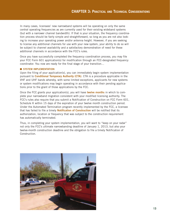In many cases, licensees' new narrowband systems will be operating on only the same central operating frequencies as are currently used for their existing wideband systems (but with a narrower channel bandwidth). If that is your situation, the frequency coordination process should be fairly simple and straightforward, so long as you are not also looking to increase your operating power and/or antenna height. However, if you are seeking to license any additional channels for use with your new system, your ability to do so will be subject to channel availability and a satisfactory demonstration of need for these additional channels in accordance with the FCC's rules.

Once you have successfully completed the frequency coordination process, you may file your FCC Form 601 application(s) for modification through an FCC-designated frequency coordinator. You now are ready for the final stage of your transition…

#### $\blacksquare$  **SYSTEM IMPLEMENTATION**

Upon the filing of your application(s), you can immediately begin system implementation pursuant to **Conditional Temporary Authority (CTA)**. CTA is a procedure applicable in the VHF and UHF bands whereby, with some limited exceptions, applicants for new systems or system modifications may begin operating in accordance with their pending applications prior to the grant of those applications by the FCC.

Once the FCC grants your application(s), you will have **twelve months** in which to complete your narrowband migration consistent with your modified licensing authority. The FCC's rules also require that you submit a Notification of Construction on FCC Form 601, Schedule K within 15 days of the expiration of your twelve month construction period. Under the Automated Termination program recently implemented by the FCC, a licensee that has failed to file a timely **Notification of Construction** will be notified that its authorization, location or frequency that was subject to the construction requirement has automatically terminated.

Thus, in completing your system implementation, you will want to "keep on your radar" not only the FCC's ultimate narrowbanding deadline of January 1, 2013, but also your twelve-month construction deadline and the obligation to file a timely Notification of Construction.

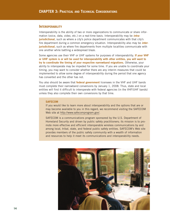#### **INTEROPERABILITY**

Interoperability is the ability of two or more organizations to communicate or share information (voice, data, video, etc.) on a real-time basis. Interoperability may be **intrajurisdictional**, such as where a city's police department communicates with that city's fire department during a common emergency situation. Interoperability also may be **interjurisdictional**, such as where fire departments from multiple localities communicate with one another while battling a widespread blaze.

Some agencies use their VHF or UHF systems for purposes of interoperability. **If your VHF or UHF system is or will be used for interoperability with other entities, you will want to try to coordinate the timing of your respective narrowband migrations.** Otherwise, your ability to interoperate may be impeded for some time. If you are unable to coordinate your timing, you may want to consider whether there are any interim measures that could be implemented to allow some degree of interoperability during the period that one agency has converted and the other has not.

You also should be aware that **federal government** licensees in the VHF and UHF bands must complete their narrowband conversions by January 1, 2008. Thus, state and local entities will find it difficult to interoperate with federal agencies (in the VHF/UHF bands) unless they also complete their own conversions by that time.

#### **SAFECOM**

If you would like to learn more about interoperability and the options that are or may become available to you in this regard, we recommend visiting the SAFECOM Web site at http://www.safecomprogram.gov/.

SAFECOM is a communications program sponsored by the U.S. Department of Homeland Security and driven by public safety practitioners; its mission is to promote more effective and efficient interoperable wireless communications by and among local, tribal, state, and federal public safety entities. SAFECOM's Web site provides members of the public safety community with a wealth of information and resources to help it meet its communications and interoperability needs.

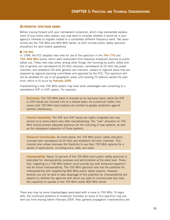#### **ALTERNATIVE SPECTRUM BANDS**

Before moving forward with your narrowband conversion, which may necessitate replacement of your entire radio system, you may want to consider whether it would be in your agency's interests to migrate instead to a completely different frequency band. Two possibilities are the 700 MHz and 800 MHz bands, as both include public safety spectrum allocations for land mobile operations.

#### ■ **700 MHz**

In 1998, the FCC adopted new rules for use of the spectrum in the **764–776** and **794–806 MHz** bands, which were reallocated from television broadcast services to public safety use. These new rules allow, among other things, the licensing by public safety entities of general use narrowband (6.25 kHz) channels, narrowband (6.25 kHz) low power channels, and wideband (50 kHz) general use channels, subject to regional plans that are prepared by regional planning committees and approved by the FCC. This spectrum will not be available for use in all geographic areas until existing TV stations vacate the spectrum, which is to occur by **February 2009**.

Implementing a new 700 MHz system may have some advantages over converting to a narrowband VHF or UHF system. For example:

**Exclusivity.** The 700 MHz band is licensed on an exclusive basis, while the VHF or UHF bands are licensed only on a shared basis. As a practical matter, this means that 700 MHz band systems are entitled to greater protection against harmful interference.

**Channel Availability.** The VHF and UHF bands are highly congested and may remain so to some extent even after narrowbanding. The "new" allocation at 700 MHz should provide adequate spectrum for the licensing of new systems, as well as the subsequent expansion of those systems.

**Enhanced Functionality.** As noted above, the 700 MHz public safety allocation includes both narrowband (6.25 kHz) and wideband (50 kHz) channels. This channel plan allows licensees the flexibility to use their 700 MHz systems for a variety of applications, including voice, data, and video.

**Interoperability.** About 10 percent of the 700 MHz band public safety spectrum is dedicated for interoperability purposes and administered at the state level. Therefore, migrating to a 700 MHz system could provide you with enhanced opportunities for future interoperability. The 700 MHz spectrum also has the potential for interoperability with neighboring 800 MHz public safety systems. However, whether you will be able to take advantage of this potential for interoperability will depend on whether the agencies with which you seek to communicate also have the capability to operate in the 700 MHz and/or 800 MHz bands.

There also may be some disadvantages associated with a move to 700 MHz. To begin with, the continued existence of broadcast licensees on some of this spectrum may prevent you from moving before February 2009. Also, general propagation characteristics are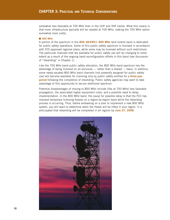somewhat less favorable at 700 MHz than in the UHF and VHF bands. What this means is that more infrastructure typically will be needed at 700 MHz, making the 700 MHz option somewhat more costly.

#### ■ **800 MHz**

A portion of the spectrum in the **806–824/851–869 MHz** land mobile band is dedicated for public safety operations. Some of this public safety spectrum is licensed in accordance with FCC-approved regional plans, while some may be licensed without such restrictions. The particular channels that are available for public safety use will be changing to some extent as a result of the ongoing band reconfiguration efforts in this band (see discussion of "rebanding" in Chapter 1).

Like the 700 MHz band public safety allocation, the 800 MHz band spectrum has the advantage of being licensed on an exclusive — rather than a shared — basis. In addition, some newly-vacated 800 MHz band channels (not presently assigned for public safety use) will become available for licensing only by public safety entities for a **three-year period** following the completion of rebanding. Public safety agencies may want to take advantage of this opportunity to secure additional spectrum.

Potential disadvantages of moving to 800 MHz include (like at 700 MHz) less favorable propagation, the associated higher equipment costs, and a possible need to delay implementation. In the 800 MHz band, the cause for possible delay is that the FCC has imposed temporary licensing freezes on a region-by-region basis while the rebanding process is occurring. Thus, before embarking on a plan to implement a new 800 MHz system, you will want to determine when the freeze will be lifted in your region. It is anticipated that rebanding will be completed in all regions by **June 27, 2008**.

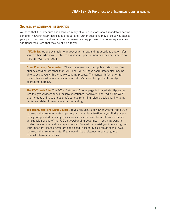#### **SOURCES OF ADDITIONAL INFORMATION**

We hope that this brochure has answered many of your questions about mandatory narrowbanding. However, every licensee is unique, and further questions may arise as you assess your particular needs and embark on the narrowbanding process. The following are some additional resources that may be of help to you.

**IAFC/IMSA.** We are available to answer your narrowbanding questions and/or refer you to others who may be able to assist you. Specific inquiries may be directed to IAFC at (703) 273-0911.

**Other Frequency Coordinators.** There are several certified public safety pool frequency coordinators other than IAFC and IMSA. These coordinators also may be able to assist you with the narrowbanding process. The contact information for these other coordinators is available at: http://wireless.fcc.gov/publicsafety/ coord.html-sub512.

**The FCC's Web Site.** The FCC's "refarming" home page is located at: http://wireless.fcc.gov/services/index.htm?job=operations&id=private\_land\_radio This Web site includes a link to the agency's various refarming-related decisions, including decisions related to mandatory narrowbanding.

**Telecommunications Legal Counsel.** If you are unsure of how or whether the FCC's narrowbanding requirements apply in your particular situation or you find yourself facing complicated licensing issues — such as the need for a rule waiver and/or an extension of one of the FCC's narrowbanding deadlines — you may want to contact telecommunications legal counsel. Counsel can assist you in ensuring that your important license rights are not placed in jeopardy as a result of the FCC's narrowbanding requirements. If you would like assistance in selecting legal counsel, please contact us.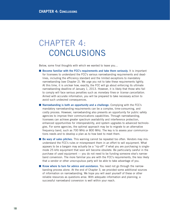### CHAPTER 4: **CONCLUSIONS**

Below, some final thoughts with which we wanted to leave you…

- **Become familiar with the FCC's requirements and take them seriously.** It is important for licensees to understand the FCC's various narrowbanding requirements and deadlines, including the efficiency standard and the limited exceptions to mandatory narrowbanding (see Chapter 2). We urge you not to take these requirements lightly. At this time, it is unclear how, exactly, the FCC will go about enforcing its ultimate narrowbanding deadline of January 1, 2013. However, it is likely that those who fail to comply will face serious penalties such as monetary fines or license cancellation. Armed with accurate information, you will be prepared to take necessary action to avoid such undesired consequences.
- **Narrowbanding is both an opportunity and a challenge.** Complying with the FCC's mandatory narrowbanding requirements can be a complex, time-consuming, and costly process. However, narrowbanding also presents an opportunity for public safety agencies to improve their communications capabilities. Through narrowbanding, licensees can achieve greater spectrum availability and interference protection, enhanced opportunities for interoperability, and system upgrades to advanced technologies. For some agencies, the optimal approach may be to migrate to an alternative frequency band, such as 700 MHz or 800 MHz. The key is to assess your communications needs and to develop a plan as to how best to meet them.
- **Be wary of sales pitches.** This warning cannot be repeated too often. Vendors may misunderstand the FCC's rules or misrepresent them in an effort to sell equipment. What appears to be a bargain may actually be a "rip-off" if what you are purchasing is singlemode 25 kHz equipment that soon will become obsolete. Be particularly careful in the purchase of used equipment — you do not need to be funding someone else's narrowband conversion. The more familiar you are with the FCC's requirements, the less likely that a vendor or other unscrupulous party will be able to take advantage of you.
- **Know where to turn for advice and assistance.** You need not go through the narrowbanding process alone. At the end of Chapter 3, we provided some additional sources of information on narrowbanding. We hope you will avail yourself of these or other reliable resources as questions arise. With adequate information and planning, a successful narrowband conversion is well within your reach.